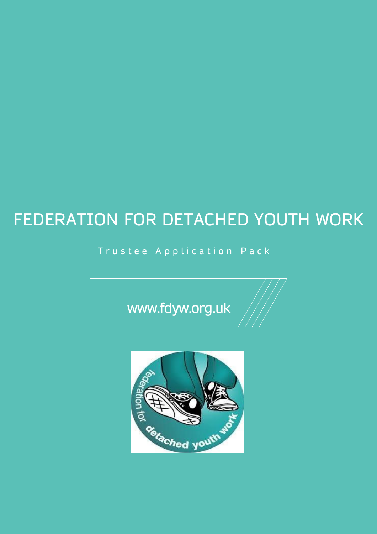# FEDERATION FOR DETACHED YOUTH WORK

# Trustee Application Pack

www.fdyw.org.uk

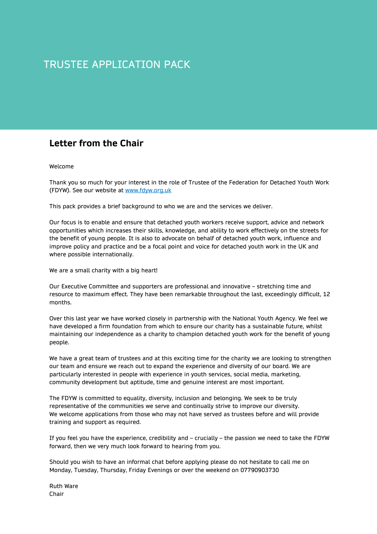# TRUSTEE APPLICATION PACK

## **Letter from the Chair**

#### Welcome

Thank you so much for your interest in the role of Trustee of the Federation for Detached Youth Work (FDYW). See our website at [www.fdyw.org.uk](http://www.fdyw.org.uk/)

This pack provides a brief background to who we are and the services we deliver.

Our focus is to enable and ensure that detached youth workers receive support, advice and network opportunities which increases their skills, knowledge, and ability to work effectively on the streets for the benefit of young people. It is also to advocate on behalf of detached youth work, influence and improve policy and practice and be a focal point and voice for detached youth work in the UK and where possible internationally.

We are a small charity with a big heart!

Our Executive Committee and supporters are professional and innovative – stretching time and resource to maximum effect. They have been remarkable throughout the last, exceedingly difficult, 12 months.

Over this last year we have worked closely in partnership with the National Youth Agency. We feel we have developed a firm foundation from which to ensure our charity has a sustainable future, whilst maintaining our independence as a charity to champion detached youth work for the benefit of young people.

We have a great team of trustees and at this exciting time for the charity we are looking to strengthen our team and ensure we reach out to expand the experience and diversity of our board. We are particularly interested in people with experience in youth services, social media, marketing, community development but aptitude, time and genuine interest are most important.

The FDYW is committed to equality, diversity, inclusion and belonging. We seek to be truly representative of the communities we serve and continually strive to improve our diversity. We welcome applications from those who may not have served as trustees before and will provide training and support as required.

If you feel you have the experience, credibility and – crucially – the passion we need to take the FDYW forward, then we very much look forward to hearing from you.

Should you wish to have an informal chat before applying please do not hesitate to call me on Monday, Tuesday, Thursday, Friday Evenings or over the weekend on 07790903730

Ruth Ware Chair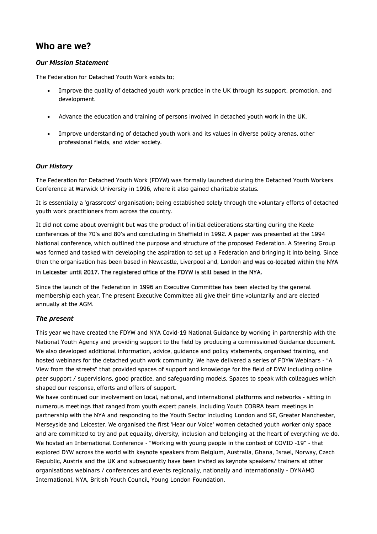### **Who are we?**

#### *Our Mission Statement*

The Federation for Detached Youth Work exists to;

- Improve the quality of detached youth work practice in the UK through its support, promotion, and development.
- Advance the education and training of persons involved in detached youth work in the UK.
- Improve understanding of detached youth work and its values in diverse policy arenas, other professional fields, and wider society.

#### *Our History*

The Federation for Detached Youth Work (FDYW) was formally launched during the Detached Youth Workers Conference at Warwick University in 1996, where it also gained charitable status.

It is essentially a 'grassroots' organisation; being established solely through the voluntary efforts of detached youth work practitioners from across the country.

It did not come about overnight but was the product of initial deliberations starting during the Keele conferences of the 70's and 80's and concluding in Sheffield in 1992. A paper was presented at the 1994 National conference, which outlined the purpose and structure of the proposed Federation. A Steering Group was formed and tasked with developing the aspiration to set up a Federation and bringing it into being. Since then the organisation has been based in Newcastle, Liverpool and, London and was co-located within the NYA in Leicester until 2017. The registered office of the FDYW is still based in the NYA.

Since the launch of the Federation in 1996 an Executive Committee has been elected by the general membership each year. The present Executive Committee all give their time voluntarily and are elected annually at the AGM.

#### *The present*

This year we have created the FDYW and NYA Covid-19 National Guidance by working in partnership with the National Youth Agency and providing support to the field by producing a commissioned Guidance document. We also developed additional information, advice, guidance and policy statements, organised training, and hosted webinars for the detached youth work community. We have delivered a series of FDYW Webinars - "A View from the streets" that provided spaces of support and knowledge for the field of DYW including online peer support / supervisions, good practice, and safeguarding models. Spaces to speak with colleagues which shaped our response, efforts and offers of support.

We have continued our involvement on local, national, and international platforms and networks - sitting in numerous meetings that ranged from youth expert panels, including Youth COBRA team meetings in partnership with the NYA and responding to the Youth Sector including London and SE, Greater Manchester, Merseyside and Leicester. We organised the first 'Hear our Voice' women detached youth worker only space and are committed to try and put equality, diversity, inclusion and belonging at the heart of everything we do. We hosted an International Conference - "Working with young people in the context of COVID -19" - that explored DYW across the world with keynote speakers from Belgium, Australia, Ghana, Israel, Norway, Czech Republic, Austria and the UK and subsequently have been invited as keynote speakers/ trainers at other organisations webinars / conferences and events regionally, nationally and internationally - DYNAMO International, NYA, British Youth Council, Young London Foundation.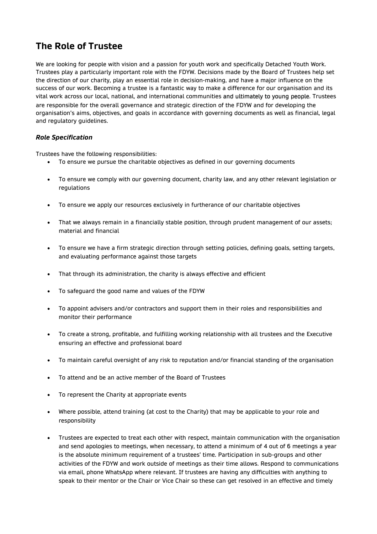# **The Role of Trustee**

We are looking for people with vision and a passion for youth work and specifically Detached Youth Work. Trustees play a particularly important role with the FDYW. Decisions made by the Board of Trustees help set the direction of our charity, play an essential role in decision-making, and have a major influence on the success of our work. Becoming a trustee is a fantastic way to make a difference for our organisation and its vital work across our local, national, and international communities and ultimately to young people. Trustees are responsible for the overall governance and strategic direction of the FDYW and for developing the organisation's aims, objectives, and goals in accordance with governing documents as well as financial, legal and regulatory guidelines.

#### *Role Specification*

Trustees have the following responsibilities:

- To ensure we pursue the charitable objectives as defined in our governing documents
- To ensure we comply with our governing document, charity law, and any other relevant legislation or regulations
- To ensure we apply our resources exclusively in furtherance of our charitable objectives
- That we always remain in a financially stable position, through prudent management of our assets; material and financial
- To ensure we have a firm strategic direction through setting policies, defining goals, setting targets, and evaluating performance against those targets
- That through its administration, the charity is always effective and efficient
- To safeguard the good name and values of the FDYW
- To appoint advisers and/or contractors and support them in their roles and responsibilities and monitor their performance
- To create a strong, profitable, and fulfilling working relationship with all trustees and the Executive ensuring an effective and professional board
- To maintain careful oversight of any risk to reputation and/or financial standing of the organisation
- To attend and be an active member of the Board of Trustees
- To represent the Charity at appropriate events
- Where possible, attend training (at cost to the Charity) that may be applicable to your role and responsibility
- Trustees are expected to treat each other with respect, maintain communication with the organisation and send apologies to meetings, when necessary, to attend a minimum of 4 out of 6 meetings a year is the absolute minimum requirement of a trustees' time. Participation in sub-groups and other activities of the FDYW and work outside of meetings as their time allows. Respond to communications via email, phone WhatsApp where relevant. If trustees are having any difficulties with anything to speak to their mentor or the Chair or Vice Chair so these can get resolved in an effective and timely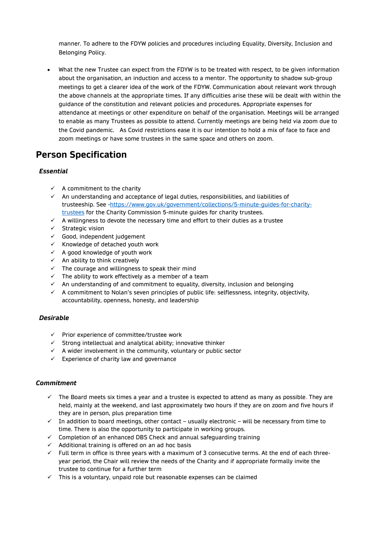manner. To adhere to the FDYW policies and procedures including Equality, Diversity, Inclusion and Belonging Policy.

• What the new Trustee can expect from the FDYW is to be treated with respect, to be given information about the organisation, an induction and access to a mentor. The opportunity to shadow sub-group meetings to get a clearer idea of the work of the FDYW. Communication about relevant work through the above channels at the appropriate times. If any difficulties arise these will be dealt with within the guidance of the constitution and relevant policies and procedures. Appropriate expenses for attendance at meetings or other expenditure on behalf of the organisation. Meetings will be arranged to enable as many Trustees as possible to attend. Currently meetings are being held via zoom due to the Covid pandemic. As Covid restrictions ease it is our intention to hold a mix of face to face and zoom meetings or have some trustees in the same space and others on zoom.

# **Person Specification**

#### *Essential*

- $\checkmark$  A commitment to the charity
- $\checkmark$  An understanding and acceptance of legal duties, responsibilities, and liabilities of trusteeship. See [-https://www.gov.uk/government/collections/5-minute-guides-for-charity](https://www.gov.uk/government/collections/5-minute-guides-for-charity-trustees)[trustees](https://www.gov.uk/government/collections/5-minute-guides-for-charity-trustees) for the Charity Commission 5-minute guides for charity trustees.
- $\checkmark$  A willingness to devote the necessary time and effort to their duties as a trustee
- ✓ Strategic vision
- $\checkmark$  Good, independent judgement
- $\checkmark$  Knowledge of detached youth work
- $\checkmark$  A good knowledge of youth work
- $\checkmark$  An ability to think creatively
- $\checkmark$  The courage and willingness to speak their mind
- $\checkmark$  The ability to work effectively as a member of a team
- $\checkmark$  An understanding of and commitment to equality, diversity, inclusion and belonging
- $\checkmark$  A commitment to Nolan's seven principles of public life: selflessness, integrity, objectivity, accountability, openness, honesty, and leadership

#### *Desirable*

- ✓ Prior experience of committee/trustee work
- $\checkmark$  Strong intellectual and analytical ability; innovative thinker
- $\checkmark$  A wider involvement in the community, voluntary or public sector
- $\checkmark$  Experience of charity law and governance

#### *Commitment*

- The Board meets six times a year and a trustee is expected to attend as many as possible. They are held, mainly at the weekend, and last approximately two hours if they are on zoom and five hours if they are in person, plus preparation time
- $\checkmark$  In addition to board meetings, other contact usually electronic will be necessary from time to time. There is also the opportunity to participate in working groups.
- ✓ Completion of an enhanced DBS Check and annual safeguarding training
- $\checkmark$  Additional training is offered on an ad hoc basis
- ✓ Full term in office is three years with a maximum of 3 consecutive terms. At the end of each threeyear period, the Chair will review the needs of the Charity and if appropriate formally invite the trustee to continue for a further term
- $\checkmark$  This is a voluntary, unpaid role but reasonable expenses can be claimed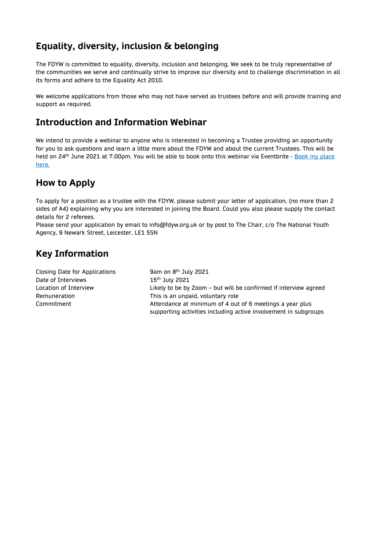# **Equality, diversity, inclusion & belonging**

The FDYW is committed to equality, diversity, inclusion and belonging. We seek to be truly representative of the communities we serve and continually strive to improve our diversity and to challenge discrimination in all its forms and adhere to the Equality Act 2010.

We welcome applications from those who may not have served as trustees before and will provide training and support as required.

# **Introduction and Information Webinar**

We intend to provide a webinar to anyone who is interested in becoming a Trustee providing an opportunity for you to ask questions and learn a little more about the FDYW and about the current Trustees. This will be held on 24<sup>th</sup> June 2021 at 7:00pm. You will be able to book onto this webinar via Eventbrite - Book my [place](https://www.eventbrite.co.uk/e/an-introduction-to-the-fdyw-tickets-156861696557) [here.](https://www.eventbrite.co.uk/e/an-introduction-to-the-fdyw-tickets-156861696557)

## **How to Apply**

To apply for a position as a trustee with the FDYW, please submit your letter of application, (no more than 2 sides of A4) explaining why you are interested in joining the Board. Could you also please supply the contact details for 2 referees.

Please send your application by email to info@fdyw.org.uk or by post to The Chair, c/o The National Youth Agency, 9 Newark Street, Leicester, LE1 5SN

# **Key Information**

Closing Date for Applications 9am on 8<sup>th</sup> July 2021 Date of Interviews 15<sup>th</sup> July 2021 Location of Interview Likely to be by Zoom – but will be confirmed if interview agreed Remuneration **This is an unpaid, voluntary role** Commitment Attendance at minimum of 4 out of 6 meetings a year plus supporting activities including active involvement in subgroups